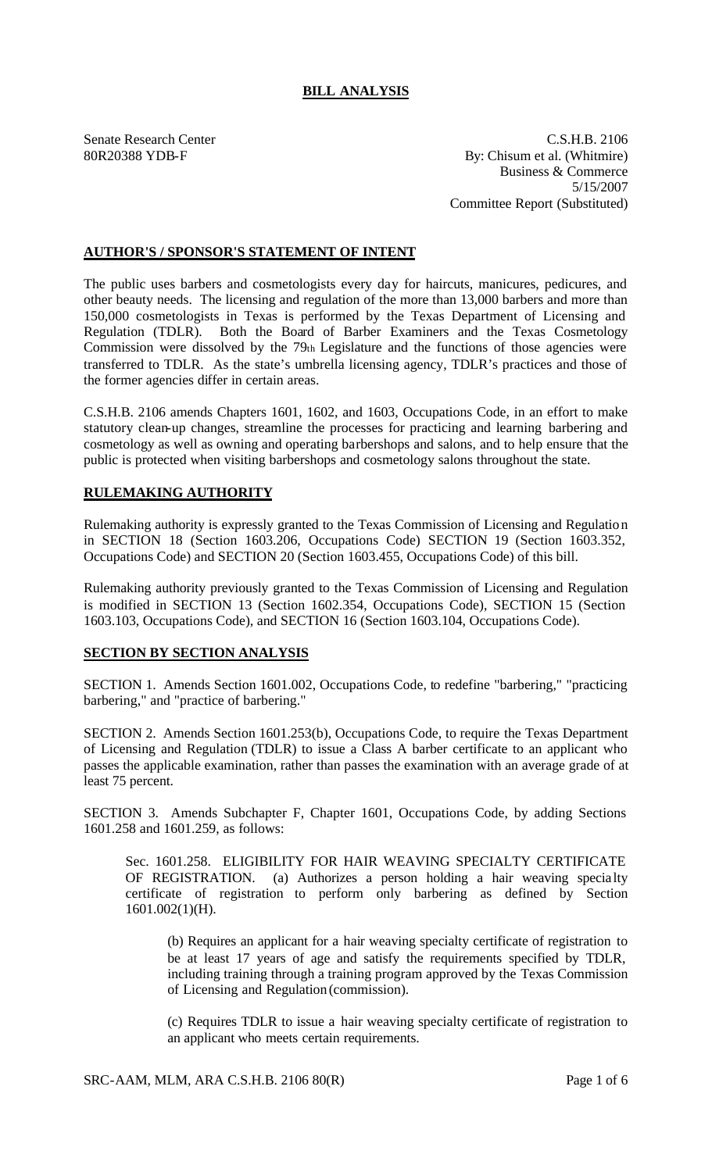## **BILL ANALYSIS**

Senate Research Center C.S.H.B. 2106 80R20388 YDB-F By: Chisum et al. (Whitmire) Business & Commerce 5/15/2007 Committee Report (Substituted)

## **AUTHOR'S / SPONSOR'S STATEMENT OF INTENT**

The public uses barbers and cosmetologists every day for haircuts, manicures, pedicures, and other beauty needs. The licensing and regulation of the more than 13,000 barbers and more than 150,000 cosmetologists in Texas is performed by the Texas Department of Licensing and Regulation (TDLR). Both the Board of Barber Examiners and the Texas Cosmetology Commission were dissolved by the 79th Legislature and the functions of those agencies were transferred to TDLR. As the state's umbrella licensing agency, TDLR's practices and those of the former agencies differ in certain areas.

C.S.H.B. 2106 amends Chapters 1601, 1602, and 1603, Occupations Code, in an effort to make statutory clean-up changes, streamline the processes for practicing and learning barbering and cosmetology as well as owning and operating barbershops and salons, and to help ensure that the public is protected when visiting barbershops and cosmetology salons throughout the state.

## **RULEMAKING AUTHORITY**

Rulemaking authority is expressly granted to the Texas Commission of Licensing and Regulation in SECTION 18 (Section 1603.206, Occupations Code) SECTION 19 (Section 1603.352, Occupations Code) and SECTION 20 (Section 1603.455, Occupations Code) of this bill.

Rulemaking authority previously granted to the Texas Commission of Licensing and Regulation is modified in SECTION 13 (Section 1602.354, Occupations Code), SECTION 15 (Section 1603.103, Occupations Code), and SECTION 16 (Section 1603.104, Occupations Code).

## **SECTION BY SECTION ANALYSIS**

SECTION 1. Amends Section 1601.002, Occupations Code, to redefine "barbering," "practicing barbering," and "practice of barbering."

SECTION 2. Amends Section 1601.253(b), Occupations Code, to require the Texas Department of Licensing and Regulation (TDLR) to issue a Class A barber certificate to an applicant who passes the applicable examination, rather than passes the examination with an average grade of at least 75 percent.

SECTION 3. Amends Subchapter F, Chapter 1601, Occupations Code, by adding Sections 1601.258 and 1601.259, as follows:

Sec. 1601.258. ELIGIBILITY FOR HAIR WEAVING SPECIALTY CERTIFICATE OF REGISTRATION. (a) Authorizes a person holding a hair weaving specia lty certificate of registration to perform only barbering as defined by Section 1601.002(1)(H).

(b) Requires an applicant for a hair weaving specialty certificate of registration to be at least 17 years of age and satisfy the requirements specified by TDLR, including training through a training program approved by the Texas Commission of Licensing and Regulation (commission).

(c) Requires TDLR to issue a hair weaving specialty certificate of registration to an applicant who meets certain requirements.

SRC-AAM, MLM, ARA C.S.H.B. 2106 80(R) Page 1 of 6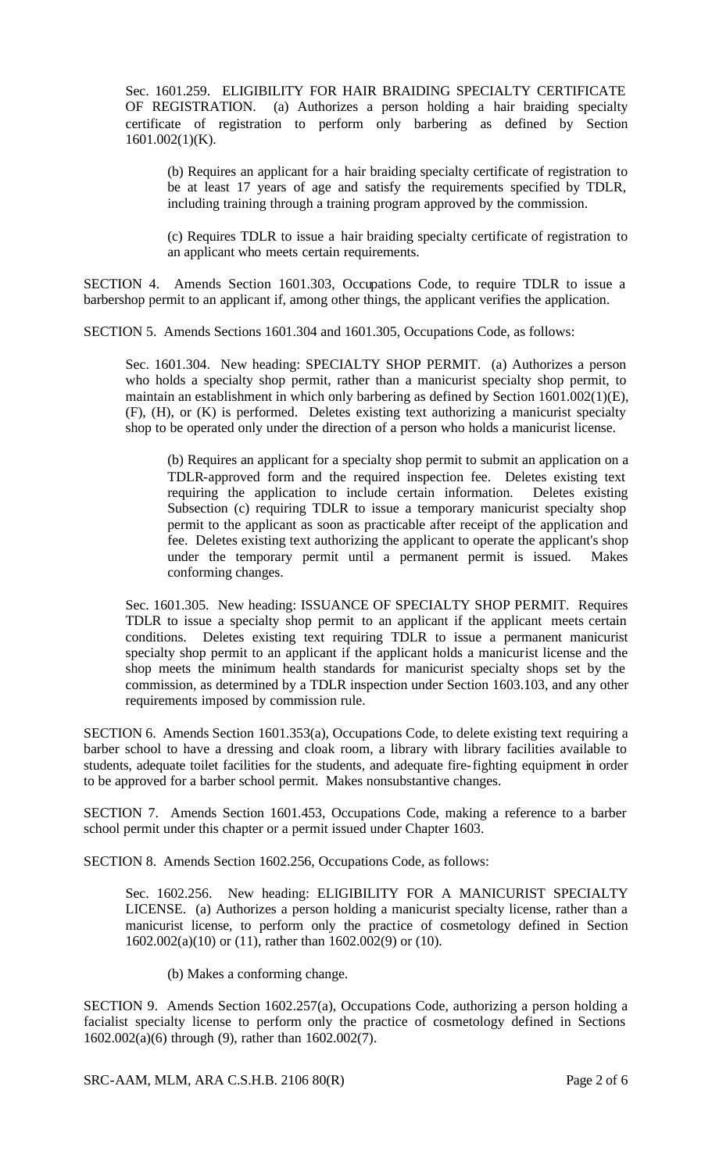Sec. 1601.259. ELIGIBILITY FOR HAIR BRAIDING SPECIALTY CERTIFICATE OF REGISTRATION. (a) Authorizes a person holding a hair braiding specialty certificate of registration to perform only barbering as defined by Section 1601.002(1)(K).

(b) Requires an applicant for a hair braiding specialty certificate of registration to be at least 17 years of age and satisfy the requirements specified by TDLR, including training through a training program approved by the commission.

(c) Requires TDLR to issue a hair braiding specialty certificate of registration to an applicant who meets certain requirements.

SECTION 4. Amends Section 1601.303, Occupations Code, to require TDLR to issue a barbershop permit to an applicant if, among other things, the applicant verifies the application.

SECTION 5. Amends Sections 1601.304 and 1601.305, Occupations Code, as follows:

Sec. 1601.304. New heading: SPECIALTY SHOP PERMIT. (a) Authorizes a person who holds a specialty shop permit, rather than a manicurist specialty shop permit, to maintain an establishment in which only barbering as defined by Section 1601.002(1)(E), (F), (H), or (K) is performed. Deletes existing text authorizing a manicurist specialty shop to be operated only under the direction of a person who holds a manicurist license.

(b) Requires an applicant for a specialty shop permit to submit an application on a TDLR-approved form and the required inspection fee. Deletes existing text requiring the application to include certain information. Deletes existing Subsection (c) requiring TDLR to issue a temporary manicurist specialty shop permit to the applicant as soon as practicable after receipt of the application and fee. Deletes existing text authorizing the applicant to operate the applicant's shop under the temporary permit until a permanent permit is issued. Makes conforming changes.

Sec. 1601.305. New heading: ISSUANCE OF SPECIALTY SHOP PERMIT. Requires TDLR to issue a specialty shop permit to an applicant if the applicant meets certain conditions. Deletes existing text requiring TDLR to issue a permanent manicurist specialty shop permit to an applicant if the applicant holds a manicurist license and the shop meets the minimum health standards for manicurist specialty shops set by the commission, as determined by a TDLR inspection under Section 1603.103, and any other requirements imposed by commission rule.

SECTION 6. Amends Section 1601.353(a), Occupations Code, to delete existing text requiring a barber school to have a dressing and cloak room, a library with library facilities available to students, adequate toilet facilities for the students, and adequate fire-fighting equipment in order to be approved for a barber school permit. Makes nonsubstantive changes.

SECTION 7. Amends Section 1601.453, Occupations Code, making a reference to a barber school permit under this chapter or a permit issued under Chapter 1603.

SECTION 8. Amends Section 1602.256, Occupations Code, as follows:

Sec. 1602.256. New heading: ELIGIBILITY FOR A MANICURIST SPECIALTY LICENSE. (a) Authorizes a person holding a manicurist specialty license, rather than a manicurist license, to perform only the practice of cosmetology defined in Section 1602.002(a)(10) or (11), rather than 1602.002(9) or (10).

(b) Makes a conforming change.

SECTION 9. Amends Section 1602.257(a), Occupations Code, authorizing a person holding a facialist specialty license to perform only the practice of cosmetology defined in Sections 1602.002(a)(6) through (9), rather than 1602.002(7).

SRC-AAM, MLM, ARA C.S.H.B. 2106 80(R) Page 2 of 6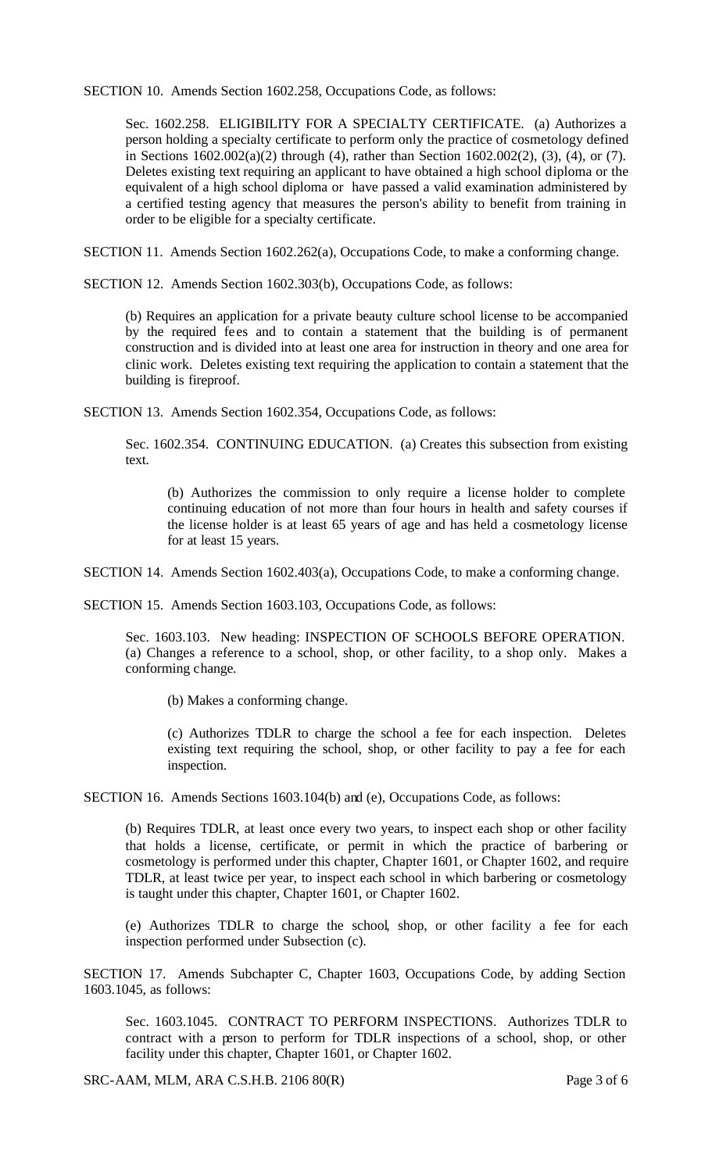SECTION 10. Amends Section 1602.258, Occupations Code, as follows:

Sec. 1602.258. ELIGIBILITY FOR A SPECIALTY CERTIFICATE. (a) Authorizes a person holding a specialty certificate to perform only the practice of cosmetology defined in Sections 1602.002(a)(2) through (4), rather than Section 1602.002(2), (3), (4), or (7). Deletes existing text requiring an applicant to have obtained a high school diploma or the equivalent of a high school diploma or have passed a valid examination administered by a certified testing agency that measures the person's ability to benefit from training in order to be eligible for a specialty certificate.

SECTION 11. Amends Section 1602.262(a), Occupations Code, to make a conforming change.

SECTION 12. Amends Section 1602.303(b), Occupations Code, as follows:

(b) Requires an application for a private beauty culture school license to be accompanied by the required fees and to contain a statement that the building is of permanent construction and is divided into at least one area for instruction in theory and one area for clinic work. Deletes existing text requiring the application to contain a statement that the building is fireproof.

SECTION 13. Amends Section 1602.354, Occupations Code, as follows:

Sec. 1602.354. CONTINUING EDUCATION. (a) Creates this subsection from existing text.

(b) Authorizes the commission to only require a license holder to complete continuing education of not more than four hours in health and safety courses if the license holder is at least 65 years of age and has held a cosmetology license for at least 15 years.

SECTION 14. Amends Section 1602.403(a), Occupations Code, to make a conforming change.

SECTION 15. Amends Section 1603.103, Occupations Code, as follows:

Sec. 1603.103. New heading: INSPECTION OF SCHOOLS BEFORE OPERATION. (a) Changes a reference to a school, shop, or other facility, to a shop only. Makes a conforming change.

(b) Makes a conforming change.

(c) Authorizes TDLR to charge the school a fee for each inspection. Deletes existing text requiring the school, shop, or other facility to pay a fee for each inspection.

SECTION 16. Amends Sections 1603.104(b) and (e), Occupations Code, as follows:

(b) Requires TDLR, at least once every two years, to inspect each shop or other facility that holds a license, certificate, or permit in which the practice of barbering or cosmetology is performed under this chapter, Chapter 1601, or Chapter 1602, and require TDLR, at least twice per year, to inspect each school in which barbering or cosmetology is taught under this chapter, Chapter 1601, or Chapter 1602.

(e) Authorizes TDLR to charge the school, shop, or other facility a fee for each inspection performed under Subsection (c).

SECTION 17. Amends Subchapter C, Chapter 1603, Occupations Code, by adding Section 1603.1045, as follows:

Sec. 1603.1045. CONTRACT TO PERFORM INSPECTIONS. Authorizes TDLR to contract with a person to perform for TDLR inspections of a school, shop, or other facility under this chapter, Chapter 1601, or Chapter 1602.

SRC-AAM, MLM, ARA C.S.H.B. 2106 80(R) Page 3 of 6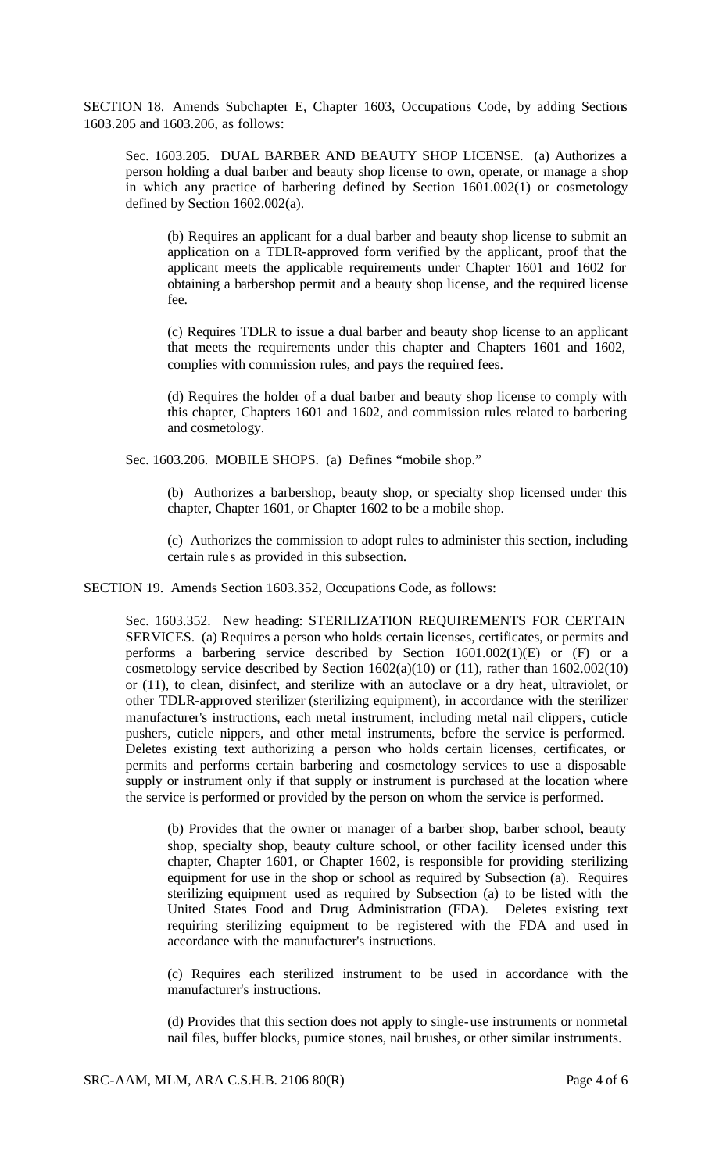SECTION 18. Amends Subchapter E, Chapter 1603, Occupations Code, by adding Sections 1603.205 and 1603.206, as follows:

Sec. 1603.205. DUAL BARBER AND BEAUTY SHOP LICENSE. (a) Authorizes a person holding a dual barber and beauty shop license to own, operate, or manage a shop in which any practice of barbering defined by Section 1601.002(1) or cosmetology defined by Section 1602.002(a).

(b) Requires an applicant for a dual barber and beauty shop license to submit an application on a TDLR-approved form verified by the applicant, proof that the applicant meets the applicable requirements under Chapter 1601 and 1602 for obtaining a barbershop permit and a beauty shop license, and the required license fee.

(c) Requires TDLR to issue a dual barber and beauty shop license to an applicant that meets the requirements under this chapter and Chapters 1601 and 1602, complies with commission rules, and pays the required fees.

(d) Requires the holder of a dual barber and beauty shop license to comply with this chapter, Chapters 1601 and 1602, and commission rules related to barbering and cosmetology.

Sec. 1603.206. MOBILE SHOPS. (a) Defines "mobile shop."

(b) Authorizes a barbershop, beauty shop, or specialty shop licensed under this chapter, Chapter 1601, or Chapter 1602 to be a mobile shop.

(c) Authorizes the commission to adopt rules to administer this section, including certain rule s as provided in this subsection.

SECTION 19. Amends Section 1603.352, Occupations Code, as follows:

Sec. 1603.352. New heading: STERILIZATION REQUIREMENTS FOR CERTAIN SERVICES. (a) Requires a person who holds certain licenses, certificates, or permits and performs a barbering service described by Section 1601.002(1)(E) or (F) or a cosmetology service described by Section 1602(a)(10) or (11), rather than 1602.002(10) or (11), to clean, disinfect, and sterilize with an autoclave or a dry heat, ultraviolet, or other TDLR-approved sterilizer (sterilizing equipment), in accordance with the sterilizer manufacturer's instructions, each metal instrument, including metal nail clippers, cuticle pushers, cuticle nippers, and other metal instruments, before the service is performed. Deletes existing text authorizing a person who holds certain licenses, certificates, or permits and performs certain barbering and cosmetology services to use a disposable supply or instrument only if that supply or instrument is purchased at the location where the service is performed or provided by the person on whom the service is performed.

(b) Provides that the owner or manager of a barber shop, barber school, beauty shop, specialty shop, beauty culture school, or other facility licensed under this chapter, Chapter 1601, or Chapter 1602, is responsible for providing sterilizing equipment for use in the shop or school as required by Subsection (a). Requires sterilizing equipment used as required by Subsection (a) to be listed with the United States Food and Drug Administration (FDA). Deletes existing text requiring sterilizing equipment to be registered with the FDA and used in accordance with the manufacturer's instructions.

(c) Requires each sterilized instrument to be used in accordance with the manufacturer's instructions.

(d) Provides that this section does not apply to single-use instruments or nonmetal nail files, buffer blocks, pumice stones, nail brushes, or other similar instruments.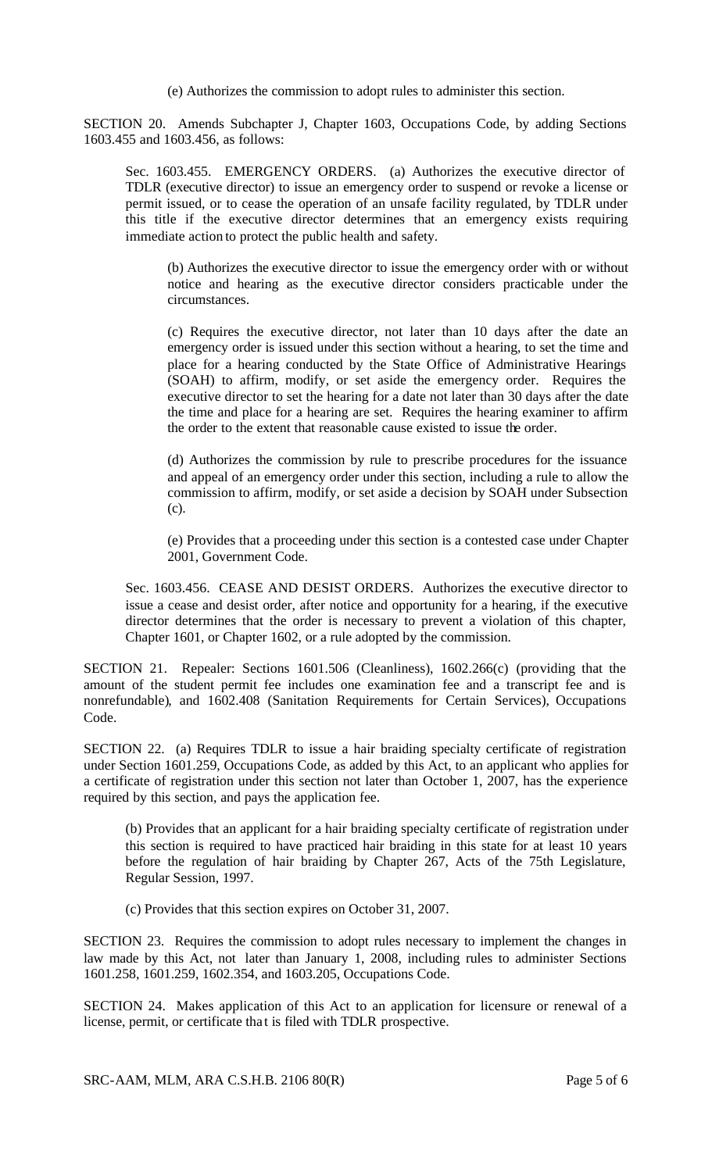(e) Authorizes the commission to adopt rules to administer this section.

SECTION 20. Amends Subchapter J, Chapter 1603, Occupations Code, by adding Sections 1603.455 and 1603.456, as follows:

Sec. 1603.455. EMERGENCY ORDERS. (a) Authorizes the executive director of TDLR (executive director) to issue an emergency order to suspend or revoke a license or permit issued, or to cease the operation of an unsafe facility regulated, by TDLR under this title if the executive director determines that an emergency exists requiring immediate action to protect the public health and safety.

(b) Authorizes the executive director to issue the emergency order with or without notice and hearing as the executive director considers practicable under the circumstances.

(c) Requires the executive director, not later than 10 days after the date an emergency order is issued under this section without a hearing, to set the time and place for a hearing conducted by the State Office of Administrative Hearings (SOAH) to affirm, modify, or set aside the emergency order. Requires the executive director to set the hearing for a date not later than 30 days after the date the time and place for a hearing are set. Requires the hearing examiner to affirm the order to the extent that reasonable cause existed to issue the order.

(d) Authorizes the commission by rule to prescribe procedures for the issuance and appeal of an emergency order under this section, including a rule to allow the commission to affirm, modify, or set aside a decision by SOAH under Subsection (c).

(e) Provides that a proceeding under this section is a contested case under Chapter 2001, Government Code.

Sec. 1603.456. CEASE AND DESIST ORDERS. Authorizes the executive director to issue a cease and desist order, after notice and opportunity for a hearing, if the executive director determines that the order is necessary to prevent a violation of this chapter, Chapter 1601, or Chapter 1602, or a rule adopted by the commission.

SECTION 21. Repealer: Sections 1601.506 (Cleanliness), 1602.266(c) (providing that the amount of the student permit fee includes one examination fee and a transcript fee and is nonrefundable), and 1602.408 (Sanitation Requirements for Certain Services), Occupations Code.

SECTION 22. (a) Requires TDLR to issue a hair braiding specialty certificate of registration under Section 1601.259, Occupations Code, as added by this Act, to an applicant who applies for a certificate of registration under this section not later than October 1, 2007, has the experience required by this section, and pays the application fee.

(b) Provides that an applicant for a hair braiding specialty certificate of registration under this section is required to have practiced hair braiding in this state for at least 10 years before the regulation of hair braiding by Chapter 267, Acts of the 75th Legislature, Regular Session, 1997.

(c) Provides that this section expires on October 31, 2007.

SECTION 23. Requires the commission to adopt rules necessary to implement the changes in law made by this Act, not later than January 1, 2008, including rules to administer Sections 1601.258, 1601.259, 1602.354, and 1603.205, Occupations Code.

SECTION 24. Makes application of this Act to an application for licensure or renewal of a license, permit, or certificate tha t is filed with TDLR prospective.

SRC-AAM, MLM, ARA C.S.H.B. 2106 80(R) Page 5 of 6